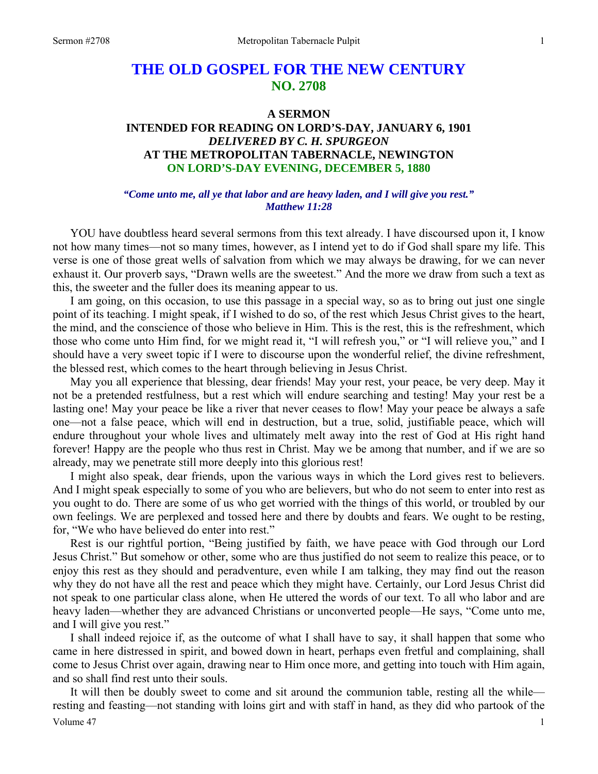# **THE OLD GOSPEL FOR THE NEW CENTURY NO. 2708**

### **A SERMON**

## **INTENDED FOR READING ON LORD'S-DAY, JANUARY 6, 1901**  *DELIVERED BY C. H. SPURGEON*  **AT THE METROPOLITAN TABERNACLE, NEWINGTON ON LORD'S-DAY EVENING, DECEMBER 5, 1880**

### *"Come unto me, all ye that labor and are heavy laden, and I will give you rest." Matthew 11:28*

YOU have doubtless heard several sermons from this text already. I have discoursed upon it, I know not how many times—not so many times, however, as I intend yet to do if God shall spare my life. This verse is one of those great wells of salvation from which we may always be drawing, for we can never exhaust it. Our proverb says, "Drawn wells are the sweetest." And the more we draw from such a text as this, the sweeter and the fuller does its meaning appear to us.

 I am going, on this occasion, to use this passage in a special way, so as to bring out just one single point of its teaching. I might speak, if I wished to do so, of the rest which Jesus Christ gives to the heart, the mind, and the conscience of those who believe in Him. This is the rest, this is the refreshment, which those who come unto Him find, for we might read it, "I will refresh you," or "I will relieve you," and I should have a very sweet topic if I were to discourse upon the wonderful relief, the divine refreshment, the blessed rest, which comes to the heart through believing in Jesus Christ.

 May you all experience that blessing, dear friends! May your rest, your peace, be very deep. May it not be a pretended restfulness, but a rest which will endure searching and testing! May your rest be a lasting one! May your peace be like a river that never ceases to flow! May your peace be always a safe one—not a false peace, which will end in destruction, but a true, solid, justifiable peace, which will endure throughout your whole lives and ultimately melt away into the rest of God at His right hand forever! Happy are the people who thus rest in Christ. May we be among that number, and if we are so already, may we penetrate still more deeply into this glorious rest!

 I might also speak, dear friends, upon the various ways in which the Lord gives rest to believers. And I might speak especially to some of you who are believers, but who do not seem to enter into rest as you ought to do. There are some of us who get worried with the things of this world, or troubled by our own feelings. We are perplexed and tossed here and there by doubts and fears. We ought to be resting, for, "We who have believed do enter into rest."

 Rest is our rightful portion, "Being justified by faith, we have peace with God through our Lord Jesus Christ." But somehow or other, some who are thus justified do not seem to realize this peace, or to enjoy this rest as they should and peradventure, even while I am talking, they may find out the reason why they do not have all the rest and peace which they might have. Certainly, our Lord Jesus Christ did not speak to one particular class alone, when He uttered the words of our text. To all who labor and are heavy laden—whether they are advanced Christians or unconverted people—He says, "Come unto me, and I will give you rest."

 I shall indeed rejoice if, as the outcome of what I shall have to say, it shall happen that some who came in here distressed in spirit, and bowed down in heart, perhaps even fretful and complaining, shall come to Jesus Christ over again, drawing near to Him once more, and getting into touch with Him again, and so shall find rest unto their souls.

Volume  $47 \hspace{1.5cm} 1$  It will then be doubly sweet to come and sit around the communion table, resting all the while resting and feasting—not standing with loins girt and with staff in hand, as they did who partook of the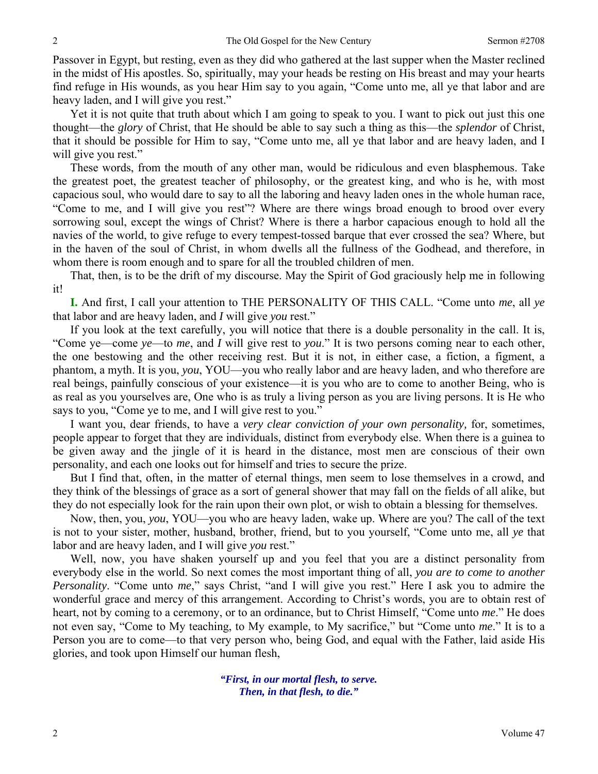Passover in Egypt, but resting, even as they did who gathered at the last supper when the Master reclined in the midst of His apostles. So, spiritually, may your heads be resting on His breast and may your hearts find refuge in His wounds, as you hear Him say to you again, "Come unto me, all ye that labor and are heavy laden, and I will give you rest."

 Yet it is not quite that truth about which I am going to speak to you. I want to pick out just this one thought—the *glory* of Christ, that He should be able to say such a thing as this—the *splendor* of Christ, that it should be possible for Him to say, "Come unto me, all ye that labor and are heavy laden, and I will give you rest."

 These words, from the mouth of any other man, would be ridiculous and even blasphemous. Take the greatest poet, the greatest teacher of philosophy, or the greatest king, and who is he, with most capacious soul, who would dare to say to all the laboring and heavy laden ones in the whole human race, "Come to me, and I will give you rest"? Where are there wings broad enough to brood over every sorrowing soul, except the wings of Christ? Where is there a harbor capacious enough to hold all the navies of the world, to give refuge to every tempest-tossed barque that ever crossed the sea? Where, but in the haven of the soul of Christ, in whom dwells all the fullness of the Godhead, and therefore, in whom there is room enough and to spare for all the troubled children of men.

 That, then, is to be the drift of my discourse. May the Spirit of God graciously help me in following it!

**I.** And first, I call your attention to THE PERSONALITY OF THIS CALL. "Come unto *me*, all *ye* that labor and are heavy laden, and *I* will give *you* rest."

 If you look at the text carefully, you will notice that there is a double personality in the call. It is, "Come ye—come *ye*—to *me*, and *I* will give rest to *you*." It is two persons coming near to each other, the one bestowing and the other receiving rest. But it is not, in either case, a fiction, a figment, a phantom, a myth. It is you, *you*, YOU—you who really labor and are heavy laden, and who therefore are real beings, painfully conscious of your existence—it is you who are to come to another Being, who is as real as you yourselves are, One who is as truly a living person as you are living persons. It is He who says to you, "Come ye to me, and I will give rest to you."

 I want you, dear friends, to have a *very clear conviction of your own personality,* for, sometimes, people appear to forget that they are individuals, distinct from everybody else. When there is a guinea to be given away and the jingle of it is heard in the distance, most men are conscious of their own personality, and each one looks out for himself and tries to secure the prize.

 But I find that, often, in the matter of eternal things, men seem to lose themselves in a crowd, and they think of the blessings of grace as a sort of general shower that may fall on the fields of all alike, but they do not especially look for the rain upon their own plot, or wish to obtain a blessing for themselves.

 Now, then, you, *you*, YOU—you who are heavy laden, wake up. Where are you? The call of the text is not to your sister, mother, husband, brother, friend, but to you yourself, "Come unto me, all *ye* that labor and are heavy laden, and I will give *you* rest."

 Well, now, you have shaken yourself up and you feel that you are a distinct personality from everybody else in the world. So next comes the most important thing of all, *you are to come to another Personality*. "Come unto *me*," says Christ, "and I will give you rest." Here I ask you to admire the wonderful grace and mercy of this arrangement. According to Christ's words, you are to obtain rest of heart, not by coming to a ceremony, or to an ordinance, but to Christ Himself, "Come unto *me*." He does not even say, "Come to My teaching, to My example, to My sacrifice," but "Come unto *me*." It is to a Person you are to come—to that very person who, being God, and equal with the Father, laid aside His glories, and took upon Himself our human flesh,

> *"First, in our mortal flesh, to serve. Then, in that flesh, to die."*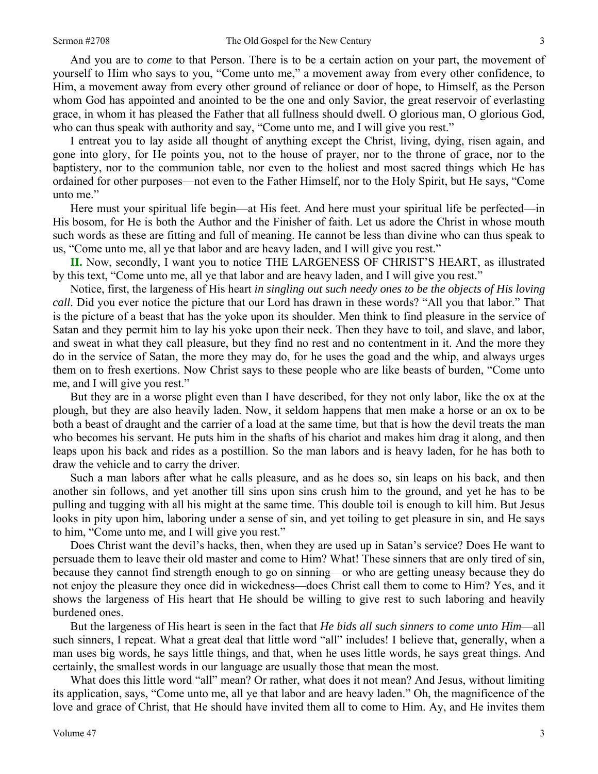And you are to *come* to that Person. There is to be a certain action on your part, the movement of yourself to Him who says to you, "Come unto me," a movement away from every other confidence, to Him, a movement away from every other ground of reliance or door of hope, to Himself, as the Person whom God has appointed and anointed to be the one and only Savior, the great reservoir of everlasting grace, in whom it has pleased the Father that all fullness should dwell. O glorious man, O glorious God, who can thus speak with authority and say, "Come unto me, and I will give you rest."

 I entreat you to lay aside all thought of anything except the Christ, living, dying, risen again, and gone into glory, for He points you, not to the house of prayer, nor to the throne of grace, nor to the baptistery, nor to the communion table, nor even to the holiest and most sacred things which He has ordained for other purposes—not even to the Father Himself, nor to the Holy Spirit, but He says, "Come unto me."

 Here must your spiritual life begin—at His feet. And here must your spiritual life be perfected—in His bosom, for He is both the Author and the Finisher of faith. Let us adore the Christ in whose mouth such words as these are fitting and full of meaning. He cannot be less than divine who can thus speak to us, "Come unto me, all ye that labor and are heavy laden, and I will give you rest."

**II.** Now, secondly, I want you to notice THE LARGENESS OF CHRIST'S HEART, as illustrated by this text, "Come unto me, all ye that labor and are heavy laden, and I will give you rest."

 Notice, first, the largeness of His heart *in singling out such needy ones to be the objects of His loving call*. Did you ever notice the picture that our Lord has drawn in these words? "All you that labor." That is the picture of a beast that has the yoke upon its shoulder. Men think to find pleasure in the service of Satan and they permit him to lay his yoke upon their neck. Then they have to toil, and slave, and labor, and sweat in what they call pleasure, but they find no rest and no contentment in it. And the more they do in the service of Satan, the more they may do, for he uses the goad and the whip, and always urges them on to fresh exertions. Now Christ says to these people who are like beasts of burden, "Come unto me, and I will give you rest."

 But they are in a worse plight even than I have described, for they not only labor, like the ox at the plough, but they are also heavily laden. Now, it seldom happens that men make a horse or an ox to be both a beast of draught and the carrier of a load at the same time, but that is how the devil treats the man who becomes his servant. He puts him in the shafts of his chariot and makes him drag it along, and then leaps upon his back and rides as a postillion. So the man labors and is heavy laden, for he has both to draw the vehicle and to carry the driver.

 Such a man labors after what he calls pleasure, and as he does so, sin leaps on his back, and then another sin follows, and yet another till sins upon sins crush him to the ground, and yet he has to be pulling and tugging with all his might at the same time. This double toil is enough to kill him. But Jesus looks in pity upon him, laboring under a sense of sin, and yet toiling to get pleasure in sin, and He says to him, "Come unto me, and I will give you rest."

 Does Christ want the devil's hacks, then, when they are used up in Satan's service? Does He want to persuade them to leave their old master and come to Him? What! These sinners that are only tired of sin, because they cannot find strength enough to go on sinning—or who are getting uneasy because they do not enjoy the pleasure they once did in wickedness—does Christ call them to come to Him? Yes, and it shows the largeness of His heart that He should be willing to give rest to such laboring and heavily burdened ones.

 But the largeness of His heart is seen in the fact that *He bids all such sinners to come unto Him*—all such sinners, I repeat. What a great deal that little word "all" includes! I believe that, generally, when a man uses big words, he says little things, and that, when he uses little words, he says great things. And certainly, the smallest words in our language are usually those that mean the most.

 What does this little word "all" mean? Or rather, what does it not mean? And Jesus, without limiting its application, says, "Come unto me, all ye that labor and are heavy laden." Oh, the magnificence of the love and grace of Christ, that He should have invited them all to come to Him. Ay, and He invites them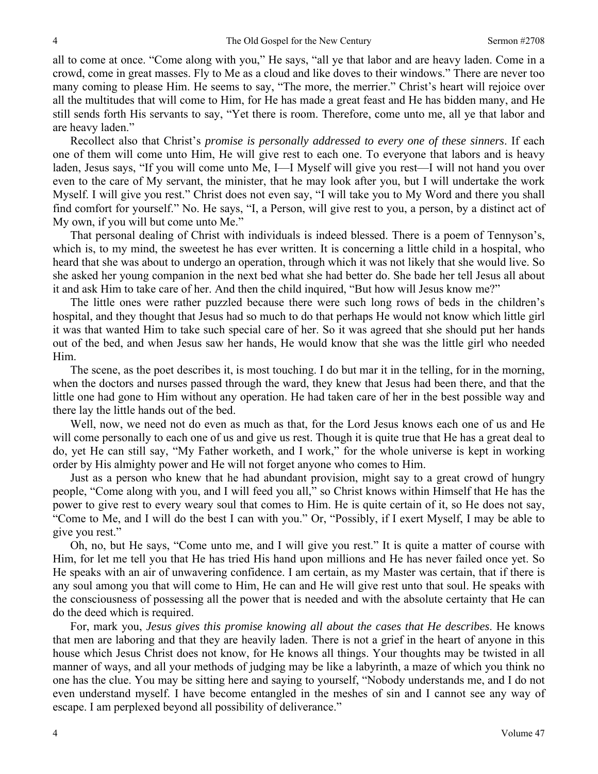all to come at once. "Come along with you," He says, "all ye that labor and are heavy laden. Come in a crowd, come in great masses. Fly to Me as a cloud and like doves to their windows." There are never too many coming to please Him. He seems to say, "The more, the merrier." Christ's heart will rejoice over all the multitudes that will come to Him, for He has made a great feast and He has bidden many, and He still sends forth His servants to say, "Yet there is room. Therefore, come unto me, all ye that labor and are heavy laden."

 Recollect also that Christ's *promise is personally addressed to every one of these sinners*. If each one of them will come unto Him, He will give rest to each one. To everyone that labors and is heavy laden, Jesus says, "If you will come unto Me, I—I Myself will give you rest—I will not hand you over even to the care of My servant, the minister, that he may look after you, but I will undertake the work Myself. I will give you rest." Christ does not even say, "I will take you to My Word and there you shall find comfort for yourself." No. He says, "I, a Person, will give rest to you, a person, by a distinct act of My own, if you will but come unto Me."

 That personal dealing of Christ with individuals is indeed blessed. There is a poem of Tennyson's, which is, to my mind, the sweetest he has ever written. It is concerning a little child in a hospital, who heard that she was about to undergo an operation, through which it was not likely that she would live. So she asked her young companion in the next bed what she had better do. She bade her tell Jesus all about it and ask Him to take care of her. And then the child inquired, "But how will Jesus know me?"

 The little ones were rather puzzled because there were such long rows of beds in the children's hospital, and they thought that Jesus had so much to do that perhaps He would not know which little girl it was that wanted Him to take such special care of her. So it was agreed that she should put her hands out of the bed, and when Jesus saw her hands, He would know that she was the little girl who needed Him.

 The scene, as the poet describes it, is most touching. I do but mar it in the telling, for in the morning, when the doctors and nurses passed through the ward, they knew that Jesus had been there, and that the little one had gone to Him without any operation. He had taken care of her in the best possible way and there lay the little hands out of the bed.

 Well, now, we need not do even as much as that, for the Lord Jesus knows each one of us and He will come personally to each one of us and give us rest. Though it is quite true that He has a great deal to do, yet He can still say, "My Father worketh, and I work," for the whole universe is kept in working order by His almighty power and He will not forget anyone who comes to Him.

 Just as a person who knew that he had abundant provision, might say to a great crowd of hungry people, "Come along with you, and I will feed you all," so Christ knows within Himself that He has the power to give rest to every weary soul that comes to Him. He is quite certain of it, so He does not say, "Come to Me, and I will do the best I can with you." Or, "Possibly, if I exert Myself, I may be able to give you rest."

 Oh, no, but He says, "Come unto me, and I will give you rest." It is quite a matter of course with Him, for let me tell you that He has tried His hand upon millions and He has never failed once yet. So He speaks with an air of unwavering confidence. I am certain, as my Master was certain, that if there is any soul among you that will come to Him, He can and He will give rest unto that soul. He speaks with the consciousness of possessing all the power that is needed and with the absolute certainty that He can do the deed which is required.

 For, mark you, *Jesus gives this promise knowing all about the cases that He describes*. He knows that men are laboring and that they are heavily laden. There is not a grief in the heart of anyone in this house which Jesus Christ does not know, for He knows all things. Your thoughts may be twisted in all manner of ways, and all your methods of judging may be like a labyrinth, a maze of which you think no one has the clue. You may be sitting here and saying to yourself, "Nobody understands me, and I do not even understand myself. I have become entangled in the meshes of sin and I cannot see any way of escape. I am perplexed beyond all possibility of deliverance."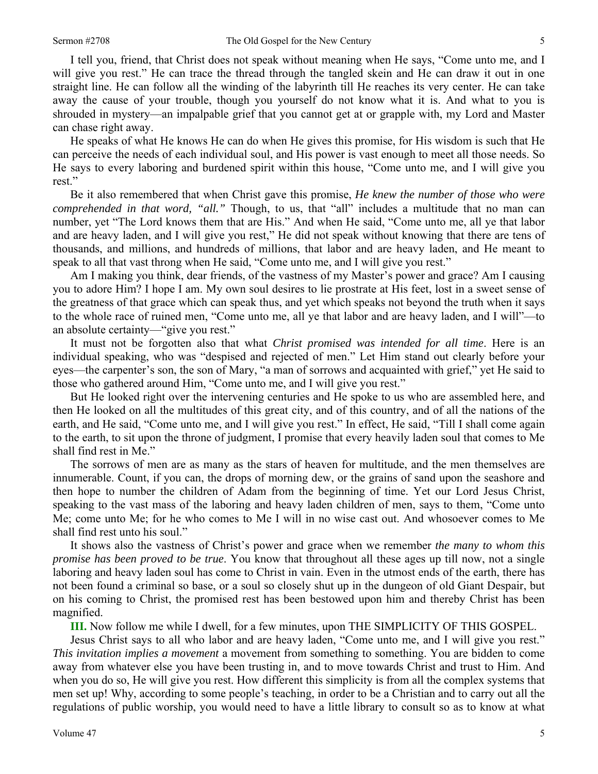I tell you, friend, that Christ does not speak without meaning when He says, "Come unto me, and I will give you rest." He can trace the thread through the tangled skein and He can draw it out in one straight line. He can follow all the winding of the labyrinth till He reaches its very center. He can take away the cause of your trouble, though you yourself do not know what it is. And what to you is shrouded in mystery—an impalpable grief that you cannot get at or grapple with, my Lord and Master can chase right away.

 He speaks of what He knows He can do when He gives this promise, for His wisdom is such that He can perceive the needs of each individual soul, and His power is vast enough to meet all those needs. So He says to every laboring and burdened spirit within this house, "Come unto me, and I will give you rest."

 Be it also remembered that when Christ gave this promise, *He knew the number of those who were comprehended in that word, "all."* Though, to us, that "all" includes a multitude that no man can number, yet "The Lord knows them that are His." And when He said, "Come unto me, all ye that labor and are heavy laden, and I will give you rest," He did not speak without knowing that there are tens of thousands, and millions, and hundreds of millions, that labor and are heavy laden, and He meant to speak to all that vast throng when He said, "Come unto me, and I will give you rest."

 Am I making you think, dear friends, of the vastness of my Master's power and grace? Am I causing you to adore Him? I hope I am. My own soul desires to lie prostrate at His feet, lost in a sweet sense of the greatness of that grace which can speak thus, and yet which speaks not beyond the truth when it says to the whole race of ruined men, "Come unto me, all ye that labor and are heavy laden, and I will"—to an absolute certainty—"give you rest."

 It must not be forgotten also that what *Christ promised was intended for all time*. Here is an individual speaking, who was "despised and rejected of men." Let Him stand out clearly before your eyes—the carpenter's son, the son of Mary, "a man of sorrows and acquainted with grief," yet He said to those who gathered around Him, "Come unto me, and I will give you rest."

 But He looked right over the intervening centuries and He spoke to us who are assembled here, and then He looked on all the multitudes of this great city, and of this country, and of all the nations of the earth, and He said, "Come unto me, and I will give you rest." In effect, He said, "Till I shall come again to the earth, to sit upon the throne of judgment, I promise that every heavily laden soul that comes to Me shall find rest in Me."

 The sorrows of men are as many as the stars of heaven for multitude, and the men themselves are innumerable. Count, if you can, the drops of morning dew, or the grains of sand upon the seashore and then hope to number the children of Adam from the beginning of time. Yet our Lord Jesus Christ, speaking to the vast mass of the laboring and heavy laden children of men, says to them, "Come unto Me; come unto Me; for he who comes to Me I will in no wise cast out. And whosoever comes to Me shall find rest unto his soul."

 It shows also the vastness of Christ's power and grace when we remember *the many to whom this promise has been proved to be true*. You know that throughout all these ages up till now, not a single laboring and heavy laden soul has come to Christ in vain. Even in the utmost ends of the earth, there has not been found a criminal so base, or a soul so closely shut up in the dungeon of old Giant Despair, but on his coming to Christ, the promised rest has been bestowed upon him and thereby Christ has been magnified.

**III.** Now follow me while I dwell, for a few minutes, upon THE SIMPLICITY OF THIS GOSPEL.

 Jesus Christ says to all who labor and are heavy laden, "Come unto me, and I will give you rest." *This invitation implies a movement* a movement from something to something. You are bidden to come away from whatever else you have been trusting in, and to move towards Christ and trust to Him. And when you do so, He will give you rest. How different this simplicity is from all the complex systems that men set up! Why, according to some people's teaching, in order to be a Christian and to carry out all the regulations of public worship, you would need to have a little library to consult so as to know at what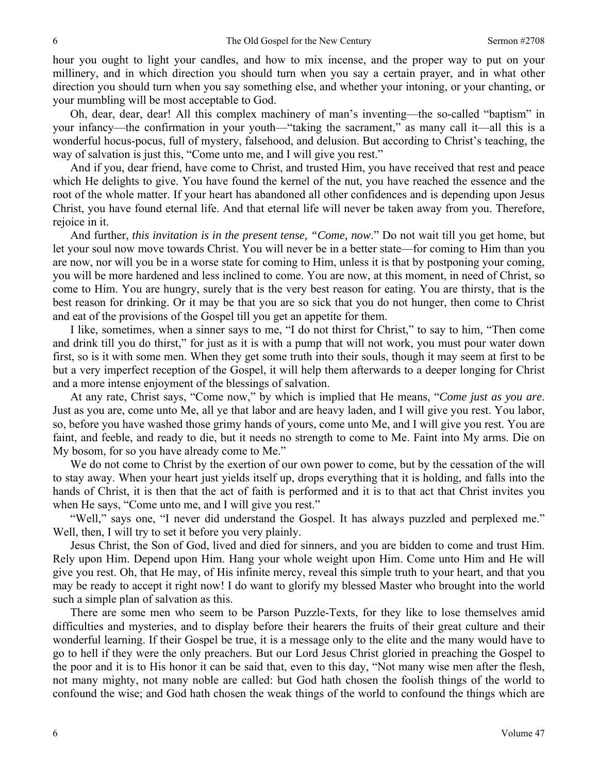hour you ought to light your candles, and how to mix incense, and the proper way to put on your millinery, and in which direction you should turn when you say a certain prayer, and in what other direction you should turn when you say something else, and whether your intoning, or your chanting, or your mumbling will be most acceptable to God.

 Oh, dear, dear, dear! All this complex machinery of man's inventing—the so-called "baptism" in your infancy—the confirmation in your youth—"taking the sacrament," as many call it—all this is a wonderful hocus-pocus, full of mystery, falsehood, and delusion. But according to Christ's teaching, the way of salvation is just this, "Come unto me, and I will give you rest."

 And if you, dear friend, have come to Christ, and trusted Him, you have received that rest and peace which He delights to give. You have found the kernel of the nut, you have reached the essence and the root of the whole matter. If your heart has abandoned all other confidences and is depending upon Jesus Christ, you have found eternal life. And that eternal life will never be taken away from you. Therefore, rejoice in it.

 And further, *this invitation is in the present tense, "Come, now*." Do not wait till you get home, but let your soul now move towards Christ. You will never be in a better state—for coming to Him than you are now, nor will you be in a worse state for coming to Him, unless it is that by postponing your coming, you will be more hardened and less inclined to come. You are now, at this moment, in need of Christ, so come to Him. You are hungry, surely that is the very best reason for eating. You are thirsty, that is the best reason for drinking. Or it may be that you are so sick that you do not hunger, then come to Christ and eat of the provisions of the Gospel till you get an appetite for them.

 I like, sometimes, when a sinner says to me, "I do not thirst for Christ," to say to him, "Then come and drink till you do thirst," for just as it is with a pump that will not work, you must pour water down first, so is it with some men. When they get some truth into their souls, though it may seem at first to be but a very imperfect reception of the Gospel, it will help them afterwards to a deeper longing for Christ and a more intense enjoyment of the blessings of salvation.

 At any rate, Christ says, "Come now," by which is implied that He means, "*Come just as you are*. Just as you are, come unto Me, all ye that labor and are heavy laden, and I will give you rest. You labor, so, before you have washed those grimy hands of yours, come unto Me, and I will give you rest. You are faint, and feeble, and ready to die, but it needs no strength to come to Me. Faint into My arms. Die on My bosom, for so you have already come to Me."

 We do not come to Christ by the exertion of our own power to come, but by the cessation of the will to stay away. When your heart just yields itself up, drops everything that it is holding, and falls into the hands of Christ, it is then that the act of faith is performed and it is to that act that Christ invites you when He says, "Come unto me, and I will give you rest."

 "Well," says one, "I never did understand the Gospel. It has always puzzled and perplexed me." Well, then, I will try to set it before you very plainly.

 Jesus Christ, the Son of God, lived and died for sinners, and you are bidden to come and trust Him. Rely upon Him. Depend upon Him. Hang your whole weight upon Him. Come unto Him and He will give you rest. Oh, that He may, of His infinite mercy, reveal this simple truth to your heart, and that you may be ready to accept it right now! I do want to glorify my blessed Master who brought into the world such a simple plan of salvation as this.

 There are some men who seem to be Parson Puzzle-Texts, for they like to lose themselves amid difficulties and mysteries, and to display before their hearers the fruits of their great culture and their wonderful learning. If their Gospel be true, it is a message only to the elite and the many would have to go to hell if they were the only preachers. But our Lord Jesus Christ gloried in preaching the Gospel to the poor and it is to His honor it can be said that, even to this day, "Not many wise men after the flesh, not many mighty, not many noble are called: but God hath chosen the foolish things of the world to confound the wise; and God hath chosen the weak things of the world to confound the things which are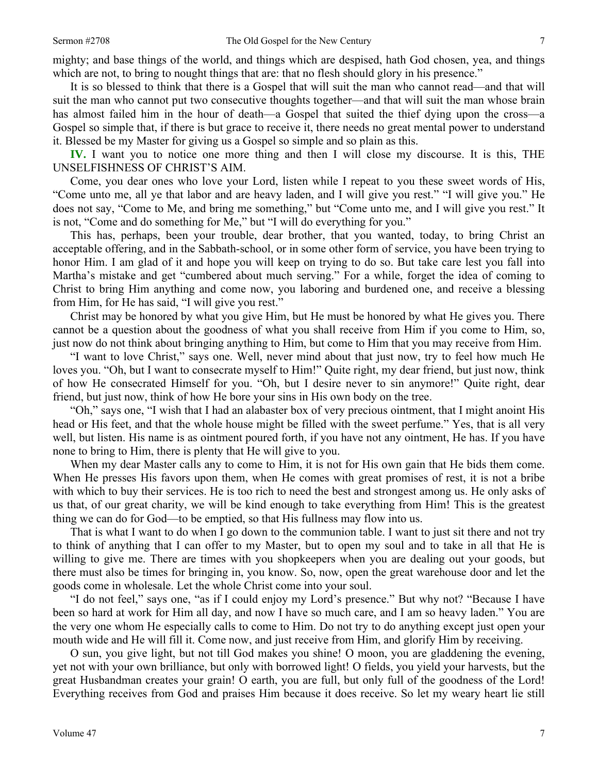mighty; and base things of the world, and things which are despised, hath God chosen, yea, and things which are not, to bring to nought things that are: that no flesh should glory in his presence."

 It is so blessed to think that there is a Gospel that will suit the man who cannot read—and that will suit the man who cannot put two consecutive thoughts together—and that will suit the man whose brain has almost failed him in the hour of death—a Gospel that suited the thief dying upon the cross—a Gospel so simple that, if there is but grace to receive it, there needs no great mental power to understand it. Blessed be my Master for giving us a Gospel so simple and so plain as this.

**IV.** I want you to notice one more thing and then I will close my discourse. It is this, THE UNSELFISHNESS OF CHRIST'S AIM.

 Come, you dear ones who love your Lord, listen while I repeat to you these sweet words of His, "Come unto me, all ye that labor and are heavy laden, and I will give you rest." "I will give you." He does not say, "Come to Me, and bring me something," but "Come unto me, and I will give you rest." It is not, "Come and do something for Me," but "I will do everything for you."

 This has, perhaps, been your trouble, dear brother, that you wanted, today, to bring Christ an acceptable offering, and in the Sabbath-school, or in some other form of service, you have been trying to honor Him. I am glad of it and hope you will keep on trying to do so. But take care lest you fall into Martha's mistake and get "cumbered about much serving." For a while, forget the idea of coming to Christ to bring Him anything and come now, you laboring and burdened one, and receive a blessing from Him, for He has said, "I will give you rest."

 Christ may be honored by what you give Him, but He must be honored by what He gives you. There cannot be a question about the goodness of what you shall receive from Him if you come to Him, so, just now do not think about bringing anything to Him, but come to Him that you may receive from Him.

 "I want to love Christ," says one. Well, never mind about that just now, try to feel how much He loves you. "Oh, but I want to consecrate myself to Him!" Quite right, my dear friend, but just now, think of how He consecrated Himself for you. "Oh, but I desire never to sin anymore!" Quite right, dear friend, but just now, think of how He bore your sins in His own body on the tree.

 "Oh," says one, "I wish that I had an alabaster box of very precious ointment, that I might anoint His head or His feet, and that the whole house might be filled with the sweet perfume." Yes, that is all very well, but listen. His name is as ointment poured forth, if you have not any ointment, He has. If you have none to bring to Him, there is plenty that He will give to you.

 When my dear Master calls any to come to Him, it is not for His own gain that He bids them come. When He presses His favors upon them, when He comes with great promises of rest, it is not a bribe with which to buy their services. He is too rich to need the best and strongest among us. He only asks of us that, of our great charity, we will be kind enough to take everything from Him! This is the greatest thing we can do for God—to be emptied, so that His fullness may flow into us.

 That is what I want to do when I go down to the communion table. I want to just sit there and not try to think of anything that I can offer to my Master, but to open my soul and to take in all that He is willing to give me. There are times with you shopkeepers when you are dealing out your goods, but there must also be times for bringing in, you know. So, now, open the great warehouse door and let the goods come in wholesale. Let the whole Christ come into your soul.

 "I do not feel," says one, "as if I could enjoy my Lord's presence." But why not? "Because I have been so hard at work for Him all day, and now I have so much care, and I am so heavy laden." You are the very one whom He especially calls to come to Him. Do not try to do anything except just open your mouth wide and He will fill it. Come now, and just receive from Him, and glorify Him by receiving.

 O sun, you give light, but not till God makes you shine! O moon, you are gladdening the evening, yet not with your own brilliance, but only with borrowed light! O fields, you yield your harvests, but the great Husbandman creates your grain! O earth, you are full, but only full of the goodness of the Lord! Everything receives from God and praises Him because it does receive. So let my weary heart lie still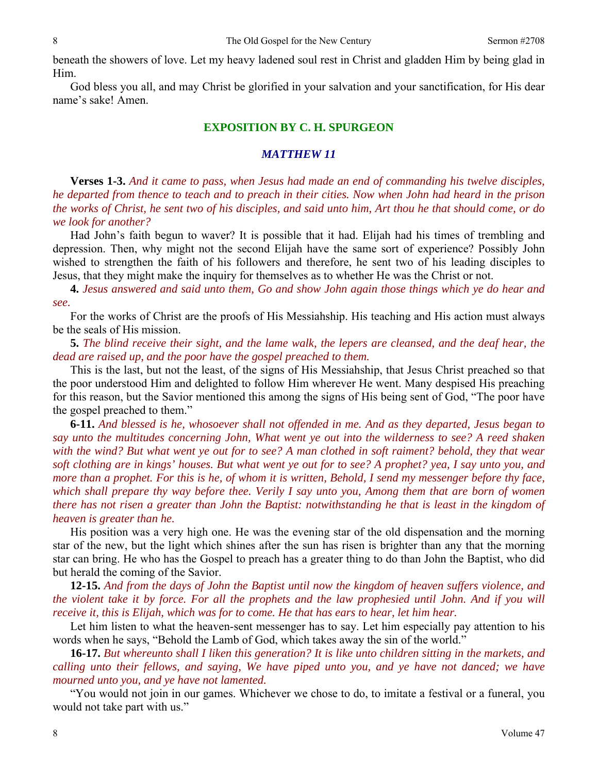beneath the showers of love. Let my heavy ladened soul rest in Christ and gladden Him by being glad in Him.

 God bless you all, and may Christ be glorified in your salvation and your sanctification, for His dear name's sake! Amen.

#### **EXPOSITION BY C. H. SPURGEON**

#### *MATTHEW 11*

**Verses 1-3.** *And it came to pass, when Jesus had made an end of commanding his twelve disciples, he departed from thence to teach and to preach in their cities. Now when John had heard in the prison the works of Christ, he sent two of his disciples, and said unto him, Art thou he that should come, or do we look for another?* 

Had John's faith begun to waver? It is possible that it had. Elijah had his times of trembling and depression. Then, why might not the second Elijah have the same sort of experience? Possibly John wished to strengthen the faith of his followers and therefore, he sent two of his leading disciples to Jesus, that they might make the inquiry for themselves as to whether He was the Christ or not.

**4.** *Jesus answered and said unto them, Go and show John again those things which ye do hear and see.* 

For the works of Christ are the proofs of His Messiahship. His teaching and His action must always be the seals of His mission.

**5.** *The blind receive their sight, and the lame walk, the lepers are cleansed, and the deaf hear, the dead are raised up, and the poor have the gospel preached to them.* 

This is the last, but not the least, of the signs of His Messiahship, that Jesus Christ preached so that the poor understood Him and delighted to follow Him wherever He went. Many despised His preaching for this reason, but the Savior mentioned this among the signs of His being sent of God, "The poor have the gospel preached to them."

**6-11.** *And blessed is he, whosoever shall not offended in me. And as they departed, Jesus began to say unto the multitudes concerning John, What went ye out into the wilderness to see? A reed shaken*  with the wind? But what went ye out for to see? A man clothed in soft raiment? behold, they that wear *soft clothing are in kings' houses. But what went ye out for to see? A prophet? yea, I say unto you, and more than a prophet. For this is he, of whom it is written, Behold, I send my messenger before thy face, which shall prepare thy way before thee. Verily I say unto you, Among them that are born of women there has not risen a greater than John the Baptist: notwithstanding he that is least in the kingdom of heaven is greater than he.* 

His position was a very high one. He was the evening star of the old dispensation and the morning star of the new, but the light which shines after the sun has risen is brighter than any that the morning star can bring. He who has the Gospel to preach has a greater thing to do than John the Baptist, who did but herald the coming of the Savior.

**12-15.** *And from the days of John the Baptist until now the kingdom of heaven suffers violence, and the violent take it by force. For all the prophets and the law prophesied until John. And if you will receive it, this is Elijah, which was for to come. He that has ears to hear, let him hear.* 

Let him listen to what the heaven-sent messenger has to say. Let him especially pay attention to his words when he says, "Behold the Lamb of God, which takes away the sin of the world."

**16-17.** *But whereunto shall I liken this generation? It is like unto children sitting in the markets, and calling unto their fellows, and saying, We have piped unto you, and ye have not danced; we have mourned unto you, and ye have not lamented.* 

"You would not join in our games. Whichever we chose to do, to imitate a festival or a funeral, you would not take part with us."